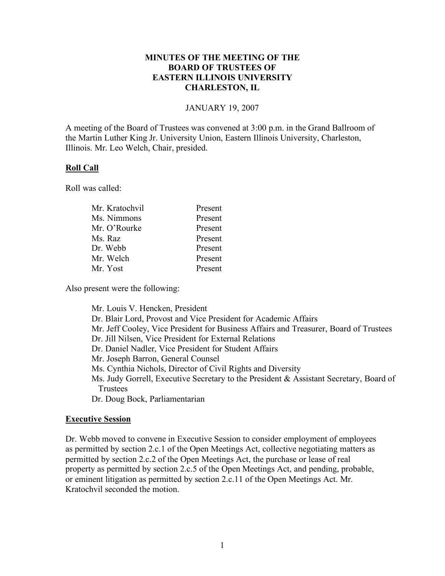# **MINUTES OF THE MEETING OF THE BOARD OF TRUSTEES OF EASTERN ILLINOIS UNIVERSITY CHARLESTON, IL**

### JANUARY 19, 2007

A meeting of the Board of Trustees was convened at 3:00 p.m. in the Grand Ballroom of the Martin Luther King Jr. University Union, Eastern Illinois University, Charleston, Illinois. Mr. Leo Welch, Chair, presided.

## **Roll Call**

Roll was called:

| Present |
|---------|
| Present |
| Present |
| Present |
| Present |
| Present |
| Present |
|         |

Also present were the following:

Mr. Louis V. Hencken, President Dr. Blair Lord, Provost and Vice President for Academic Affairs Mr. Jeff Cooley, Vice President for Business Affairs and Treasurer, Board of Trustees Dr. Jill Nilsen, Vice President for External Relations Dr. Daniel Nadler, Vice President for Student Affairs Mr. Joseph Barron, General Counsel Ms. Cynthia Nichols, Director of Civil Rights and Diversity Ms. Judy Gorrell, Executive Secretary to the President & Assistant Secretary, Board of Trustees Dr. Doug Bock, Parliamentarian

## **Executive Session**

Dr. Webb moved to convene in Executive Session to consider employment of employees as permitted by section 2.c.1 of the Open Meetings Act, collective negotiating matters as permitted by section 2.c.2 of the Open Meetings Act, the purchase or lease of real property as permitted by section 2.c.5 of the Open Meetings Act, and pending, probable, or eminent litigation as permitted by section 2.c.11 of the Open Meetings Act. Mr. Kratochvil seconded the motion.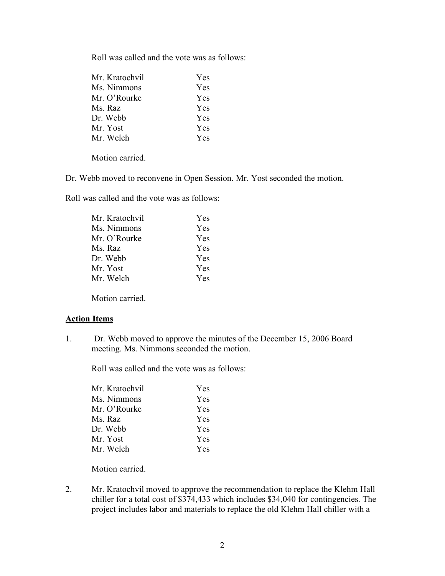Roll was called and the vote was as follows:

| Mr. Kratochvil | Yes        |
|----------------|------------|
| Ms. Nimmons    | Yes        |
| Mr. O'Rourke   | <b>Yes</b> |
| Ms. Raz        | Yes        |
| Dr. Webb       | Yes        |
| Mr. Yost       | Yes        |
| Mr. Welch      | <b>Yes</b> |

Motion carried.

Dr. Webb moved to reconvene in Open Session. Mr. Yost seconded the motion.

Roll was called and the vote was as follows:

| Mr. Kratochvil | Yes        |
|----------------|------------|
| Ms. Nimmons    | Yes        |
| Mr. O'Rourke   | <b>Yes</b> |
| Ms. Raz        | <b>Yes</b> |
| Dr. Webb       | <b>Yes</b> |
| Mr. Yost       | Yes        |
| Mr. Welch      | <b>Yes</b> |
|                |            |

Motion carried.

#### **Action Items**

1. Dr. Webb moved to approve the minutes of the December 15, 2006 Board meeting. Ms. Nimmons seconded the motion.

Roll was called and the vote was as follows:

| Mr. Kratochvil | <b>Yes</b> |
|----------------|------------|
| Ms. Nimmons    | <b>Yes</b> |
| Mr. O'Rourke   | <b>Yes</b> |
| Ms. Raz        | <b>Yes</b> |
| Dr. Webb       | Yes        |
| Mr. Yost       | <b>Yes</b> |
| Mr. Welch      | <b>Yes</b> |

Motion carried.

2. Mr. Kratochvil moved to approve the recommendation to replace the Klehm Hall chiller for a total cost of \$374,433 which includes \$34,040 for contingencies. The project includes labor and materials to replace the old Klehm Hall chiller with a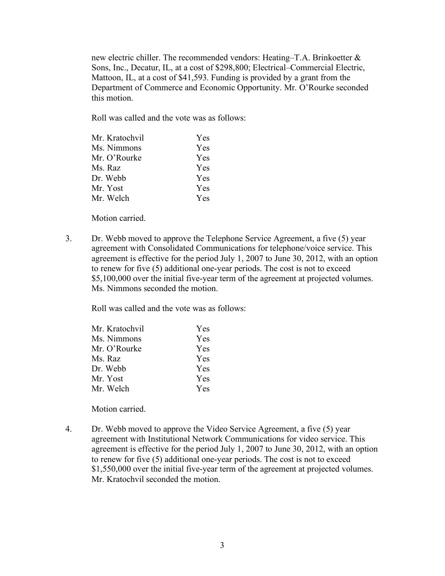new electric chiller. The recommended vendors: Heating–T.A. Brinkoetter & Sons, Inc., Decatur, IL, at a cost of \$298,800; Electrical–Commercial Electric, Mattoon, IL, at a cost of \$41,593. Funding is provided by a grant from the Department of Commerce and Economic Opportunity. Mr. O'Rourke seconded this motion.

Roll was called and the vote was as follows:

| Mr. Kratochvil | Yes        |
|----------------|------------|
| Ms. Nimmons    | Yes        |
| Mr. O'Rourke   | <b>Yes</b> |
| Ms. Raz        | Yes        |
| Dr. Webb       | <b>Yes</b> |
| Mr. Yost       | Yes        |
| Mr. Welch      | Yes        |

Motion carried.

3. Dr. Webb moved to approve the Telephone Service Agreement, a five (5) year agreement with Consolidated Communications for telephone/voice service. This agreement is effective for the period July 1, 2007 to June 30, 2012, with an option to renew for five (5) additional one-year periods. The cost is not to exceed \$5,100,000 over the initial five-year term of the agreement at projected volumes. Ms. Nimmons seconded the motion.

Roll was called and the vote was as follows:

| Mr. Kratochvil | <b>Yes</b> |
|----------------|------------|
| Ms. Nimmons    | <b>Yes</b> |
| Mr. O'Rourke   | <b>Yes</b> |
| Ms. Raz        | <b>Yes</b> |
| Dr. Webb       | <b>Yes</b> |
| Mr. Yost       | <b>Yes</b> |
| Mr. Welch      | <b>Yes</b> |

Motion carried.

4. Dr. Webb moved to approve the Video Service Agreement, a five (5) year agreement with Institutional Network Communications for video service. This agreement is effective for the period July 1, 2007 to June 30, 2012, with an option to renew for five (5) additional one-year periods. The cost is not to exceed \$1,550,000 over the initial five-year term of the agreement at projected volumes. Mr. Kratochvil seconded the motion.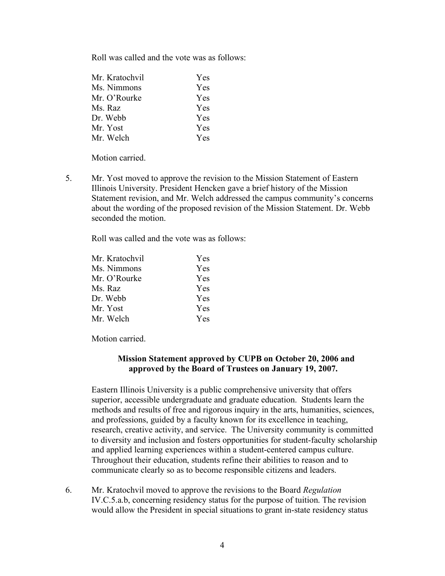Roll was called and the vote was as follows:

| Yes        |
|------------|
| Yes        |
| <b>Yes</b> |
| Yes        |
| <b>Yes</b> |
| <b>Yes</b> |
| Yes        |
|            |

Motion carried.

5. Mr. Yost moved to approve the revision to the Mission Statement of Eastern Illinois University. President Hencken gave a brief history of the Mission Statement revision, and Mr. Welch addressed the campus community's concerns about the wording of the proposed revision of the Mission Statement. Dr. Webb seconded the motion.

Roll was called and the vote was as follows:

| Mr. Kratochvil | Yes        |
|----------------|------------|
| Ms. Nimmons    | Yes        |
| Mr. O'Rourke   | Yes        |
| Ms. Raz        | Yes        |
| Dr. Webb       | <b>Yes</b> |
| Mr. Yost       | Yes        |
| Mr. Welch      | <b>Yes</b> |

Motion carried.

## **Mission Statement approved by CUPB on October 20, 2006 and approved by the Board of Trustees on January 19, 2007.**

Eastern Illinois University is a public comprehensive university that offers superior, accessible undergraduate and graduate education. Students learn the methods and results of free and rigorous inquiry in the arts, humanities, sciences, and professions, guided by a faculty known for its excellence in teaching, research, creative activity, and service. The University community is committed to diversity and inclusion and fosters opportunities for student-faculty scholarship and applied learning experiences within a student-centered campus culture. Throughout their education, students refine their abilities to reason and to communicate clearly so as to become responsible citizens and leaders.

6. Mr. Kratochvil moved to approve the revisions to the Board *Regulation* IV.C.5.a.b, concerning residency status for the purpose of tuition. The revision would allow the President in special situations to grant in-state residency status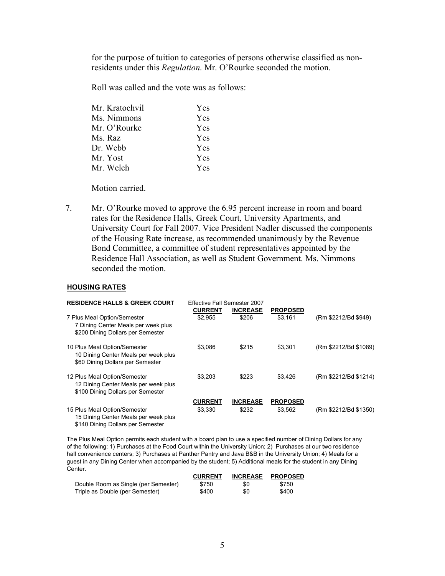for the purpose of tuition to categories of persons otherwise classified as nonresidents under this *Regulation*. Mr. O'Rourke seconded the motion.

Roll was called and the vote was as follows:

| Mr. Kratochvil | Yes        |
|----------------|------------|
| Ms. Nimmons    | Yes        |
| Mr. O'Rourke   | Yes        |
| Ms. Raz        | Yes        |
| Dr. Webb       | <b>Yes</b> |
| Mr. Yost       | Yes        |
| Mr. Welch      | Yes        |
|                |            |

Motion carried.

7. Mr. O'Rourke moved to approve the 6.95 percent increase in room and board rates for the Residence Halls, Greek Court, University Apartments, and University Court for Fall 2007. Vice President Nadler discussed the components of the Housing Rate increase, as recommended unanimously by the Revenue Bond Committee, a committee of student representatives appointed by the Residence Hall Association, as well as Student Government. Ms. Nimmons seconded the motion.

#### **HOUSING RATES**

| <b>RESIDENCE HALLS &amp; GREEK COURT</b>                                                                  | Effective Fall Semester 2007<br><b>CURRENT</b> | <b>INCREASE</b> | <b>PROPOSED</b> |                       |
|-----------------------------------------------------------------------------------------------------------|------------------------------------------------|-----------------|-----------------|-----------------------|
| 7 Plus Meal Option/Semester<br>7 Dining Center Meals per week plus<br>\$200 Dining Dollars per Semester   | \$2.955                                        | \$206           | \$3.161         | (Rm \$2212/Bd \$949)  |
| 10 Plus Meal Option/Semester<br>10 Dining Center Meals per week plus<br>\$60 Dining Dollars per Semester  | \$3.086                                        | \$215           | \$3.301         | (Rm \$2212/Bd \$1089) |
| 12 Plus Meal Option/Semester<br>12 Dining Center Meals per week plus<br>\$100 Dining Dollars per Semester | \$3.203                                        | \$223           | \$3.426         | (Rm \$2212/Bd \$1214) |
|                                                                                                           | <b>CURRENT</b>                                 | <b>INCREASE</b> | <b>PROPOSED</b> |                       |
| 15 Plus Meal Option/Semester<br>15 Dining Center Meals per week plus<br>\$140 Dining Dollars per Semester | \$3.330                                        | \$232           | \$3,562         | (Rm \$2212/Bd \$1350) |

The Plus Meal Option permits each student with a board plan to use a specified number of Dining Dollars for any of the following: 1) Purchases at the Food Court within the University Union; 2) Purchases at our two residence hall convenience centers; 3) Purchases at Panther Pantry and Java B&B in the University Union; 4) Meals for a guest in any Dining Center when accompanied by the student; 5) Additional meals for the student in any Dining Center.

|                                      | <b>CURRENT</b> | <b>INCREASE</b> | <b>PROPOSED</b> |
|--------------------------------------|----------------|-----------------|-----------------|
| Double Room as Single (per Semester) | \$750          | \$0             | \$750           |
| Triple as Double (per Semester)      | \$400          | \$0             | \$400           |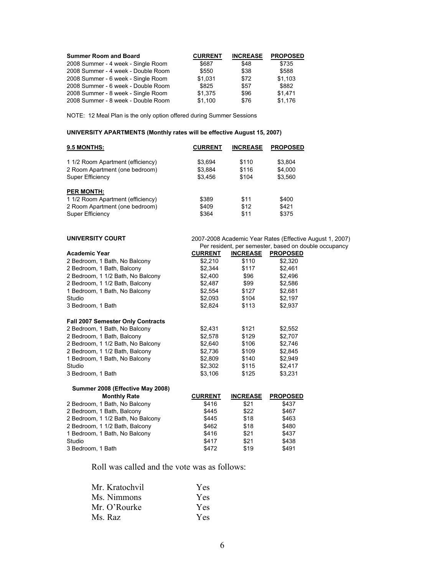| <b>Summer Room and Board</b>       | <b>CURRENT</b> | <b>INCREASE</b> | <b>PROPOSED</b> |
|------------------------------------|----------------|-----------------|-----------------|
| 2008 Summer - 4 week - Single Room | \$687          | \$48            | \$735           |
| 2008 Summer - 4 week - Double Room | \$550          | \$38            | \$588           |
| 2008 Summer - 6 week - Single Room | \$1,031        | \$72            | \$1,103         |
| 2008 Summer - 6 week - Double Room | \$825          | \$57            | \$882           |
| 2008 Summer - 8 week - Single Room | \$1,375        | \$96            | \$1.471         |
| 2008 Summer - 8 week - Double Room | \$1,100        | \$76            | \$1.176         |

NOTE: 12 Meal Plan is the only option offered during Summer Sessions

#### **UNIVERSITY APARTMENTS (Monthly rates will be effective August 15, 2007)**

| 9.5 MONTHS:                       | <b>CURRENT</b> | <b>INCREASE</b> | <b>PROPOSED</b>                                          |  |
|-----------------------------------|----------------|-----------------|----------------------------------------------------------|--|
| 1 1/2 Room Apartment (efficiency) | \$3,694        | \$110           | \$3,804                                                  |  |
| 2 Room Apartment (one bedroom)    | \$3,884        | \$116           | \$4,000                                                  |  |
| <b>Super Efficiency</b>           | \$3,456        | \$104           | \$3,560                                                  |  |
| <b>PER MONTH:</b>                 |                |                 |                                                          |  |
| 1 1/2 Room Apartment (efficiency) | \$389          | \$11            | \$400                                                    |  |
| 2 Room Apartment (one bedroom)    | \$409          | \$12            | \$421                                                    |  |
| Super Efficiency                  | \$364          | \$11            | \$375                                                    |  |
| <b>UNIVERSITY COURT</b>           |                |                 | 2007-2008 Academic Year Rates (Effective August 1, 2007) |  |
|                                   |                |                 | Per resident, per semester, based on double occupancy    |  |
| <b>Academic Year</b>              | <b>CURRENT</b> | <b>INCREASE</b> | <b>PROPOSED</b>                                          |  |
| 2 Bedroom, 1 Bath, No Balcony     | \$2,210        | \$110           | \$2,320                                                  |  |
| 2 Bedroom, 1 Bath, Balcony        | \$2,344        | \$117           | \$2,461                                                  |  |
| 2 Bedroom, 1 1/2 Bath, No Balcony | \$2,400        | \$96            | \$2,496                                                  |  |
| 2 Bedroom, 1 1/2 Bath, Balcony    | \$2,487        | \$99            | \$2,586                                                  |  |
| 1 Bedroom, 1 Bath, No Balcony     | \$2,554        | \$127           | \$2,681                                                  |  |
| Studio                            | \$2,093        | \$104           | \$2,197                                                  |  |
| 3 Bedroom, 1 Bath                 | \$2,824        | \$113           | \$2,937                                                  |  |
| Fall 2007 Semester Only Contracts |                |                 |                                                          |  |
| 2 Bedroom, 1 Bath, No Balcony     | \$2,431        | \$121           | \$2,552                                                  |  |
| 2 Bedroom, 1 Bath, Balcony        | \$2,578        | \$129           | \$2,707                                                  |  |
| 2 Bedroom, 1 1/2 Bath, No Balcony | \$2,640        | \$106           | \$2,746                                                  |  |
| 2 Bedroom, 1 1/2 Bath, Balcony    | \$2,736        | \$109           | \$2,845                                                  |  |
| 1 Bedroom, 1 Bath, No Balcony     | \$2,809        | \$140           | \$2,949                                                  |  |
| Studio                            | \$2,302        | \$115           | \$2,417                                                  |  |
| 3 Bedroom, 1 Bath                 | \$3,106        | \$125           | \$3,231                                                  |  |
| Summer 2008 (Effective May 2008)  |                |                 |                                                          |  |
| <b>Monthly Rate</b>               | <b>CURRENT</b> | <b>INCREASE</b> | <b>PROPOSED</b>                                          |  |
| 2 Bedroom, 1 Bath, No Balcony     | \$416          | \$21            | \$437                                                    |  |
| 2 Bedroom, 1 Bath, Balcony        | \$445          | \$22            | \$467                                                    |  |
| 2 Bedroom, 1 1/2 Bath, No Balcony | \$445          | \$18            | \$463                                                    |  |
| 2 Bedroom, 1 1/2 Bath, Balcony    | \$462          | \$18            | \$480                                                    |  |
| 1 Bedroom, 1 Bath, No Balcony     | \$416          | \$21            | \$437                                                    |  |
| Studio                            | \$417          | \$21            | \$438                                                    |  |
| 3 Bedroom, 1 Bath                 | \$472          | \$19            | \$491                                                    |  |

Roll was called and the vote was as follows:

| Mr. Kratochvil | <b>Yes</b> |
|----------------|------------|
| Ms. Nimmons    | <b>Yes</b> |
| Mr. O'Rourke   | <b>Yes</b> |
| Ms. Raz        | <b>Yes</b> |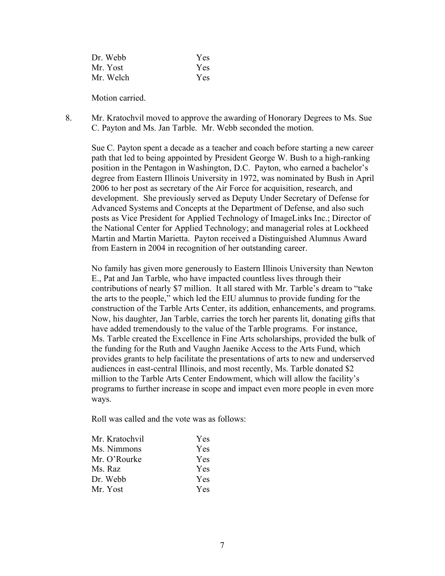| Dr. Webb  | Yes |
|-----------|-----|
| Mr. Yost  | Yes |
| Mr. Welch | Yes |

Motion carried.

8. Mr. Kratochvil moved to approve the awarding of Honorary Degrees to Ms. Sue C. Payton and Ms. Jan Tarble. Mr. Webb seconded the motion.

Sue C. Payton spent a decade as a teacher and coach before starting a new career path that led to being appointed by President George W. Bush to a high-ranking position in the Pentagon in Washington, D.C. Payton, who earned a bachelor's degree from Eastern Illinois University in 1972, was nominated by Bush in April 2006 to her post as secretary of the Air Force for acquisition, research, and development. She previously served as Deputy Under Secretary of Defense for Advanced Systems and Concepts at the Department of Defense, and also such posts as Vice President for Applied Technology of ImageLinks Inc.; Director of the National Center for Applied Technology; and managerial roles at Lockheed Martin and Martin Marietta. Payton received a Distinguished Alumnus Award from Eastern in 2004 in recognition of her outstanding career.

No family has given more generously to Eastern Illinois University than Newton E., Pat and Jan Tarble, who have impacted countless lives through their contributions of nearly \$7 million. It all stared with Mr. Tarble's dream to "take the arts to the people," which led the EIU alumnus to provide funding for the construction of the Tarble Arts Center, its addition, enhancements, and programs. Now, his daughter, Jan Tarble, carries the torch her parents lit, donating gifts that have added tremendously to the value of the Tarble programs. For instance, Ms. Tarble created the Excellence in Fine Arts scholarships, provided the bulk of the funding for the Ruth and Vaughn Jaenike Access to the Arts Fund, which provides grants to help facilitate the presentations of arts to new and underserved audiences in east-central Illinois, and most recently, Ms. Tarble donated \$2 million to the Tarble Arts Center Endowment, which will allow the facility's programs to further increase in scope and impact even more people in even more ways.

Roll was called and the vote was as follows:

| Mr. Kratochvil | Yes.       |
|----------------|------------|
| Ms. Nimmons    | Yes.       |
| Mr. O'Rourke   | Yes.       |
| Ms. Raz        | Yes.       |
| Dr. Webb       | <b>Yes</b> |
| Mr. Yost       | Yes.       |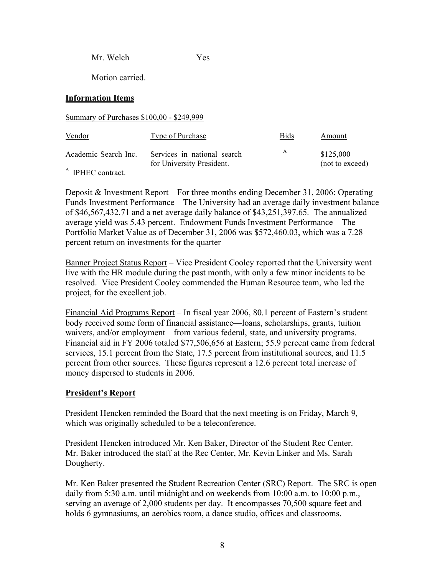Mr. Welch Yes

Motion carried.

# **Information Items**

Summary of Purchases \$100,00 - \$249,999

| <u>Vendor</u>        | Type of Purchase                                         | <b>Bids</b> | Amount                       |
|----------------------|----------------------------------------------------------|-------------|------------------------------|
| Academic Search Inc. | Services in national search<br>for University President. | A           | \$125,000<br>(not to exceed) |
| A IDLIEC contract    |                                                          |             |                              |

IPHEC contract.

Deposit & Investment Report – For three months ending December 31, 2006: Operating Funds Investment Performance – The University had an average daily investment balance of \$46,567,432.71 and a net average daily balance of \$43,251,397.65. The annualized average yield was 5.43 percent. Endowment Funds Investment Performance – The Portfolio Market Value as of December 31, 2006 was \$572,460.03, which was a 7.28 percent return on investments for the quarter

Banner Project Status Report – Vice President Cooley reported that the University went live with the HR module during the past month, with only a few minor incidents to be resolved. Vice President Cooley commended the Human Resource team, who led the project, for the excellent job.

Financial Aid Programs Report – In fiscal year 2006, 80.1 percent of Eastern's student body received some form of financial assistance—loans, scholarships, grants, tuition waivers, and/or employment—from various federal, state, and university programs. Financial aid in FY 2006 totaled \$77,506,656 at Eastern; 55.9 percent came from federal services, 15.1 percent from the State, 17.5 percent from institutional sources, and 11.5 percent from other sources. These figures represent a 12.6 percent total increase of money dispersed to students in 2006.

# **President's Report**

President Hencken reminded the Board that the next meeting is on Friday, March 9, which was originally scheduled to be a teleconference.

President Hencken introduced Mr. Ken Baker, Director of the Student Rec Center. Mr. Baker introduced the staff at the Rec Center, Mr. Kevin Linker and Ms. Sarah Dougherty.

Mr. Ken Baker presented the Student Recreation Center (SRC) Report. The SRC is open daily from 5:30 a.m. until midnight and on weekends from 10:00 a.m. to 10:00 p.m., serving an average of 2,000 students per day. It encompasses 70,500 square feet and holds 6 gymnasiums, an aerobics room, a dance studio, offices and classrooms.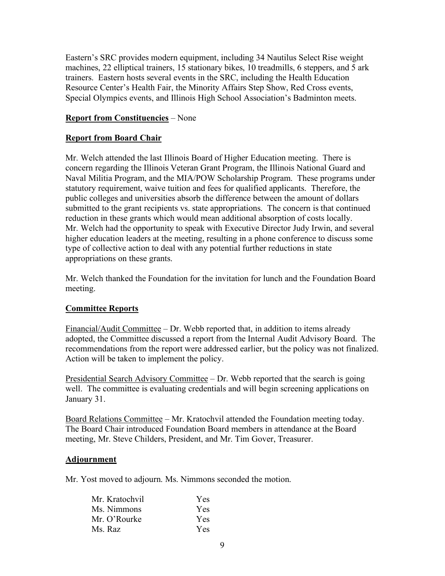Eastern's SRC provides modern equipment, including 34 Nautilus Select Rise weight machines, 22 elliptical trainers, 15 stationary bikes, 10 treadmills, 6 steppers, and 5 ark trainers. Eastern hosts several events in the SRC, including the Health Education Resource Center's Health Fair, the Minority Affairs Step Show, Red Cross events, Special Olympics events, and Illinois High School Association's Badminton meets.

# **Report from Constituencies** – None

# **Report from Board Chair**

Mr. Welch attended the last Illinois Board of Higher Education meeting. There is concern regarding the Illinois Veteran Grant Program, the Illinois National Guard and Naval Militia Program, and the MIA/POW Scholarship Program. These programs under statutory requirement, waive tuition and fees for qualified applicants. Therefore, the public colleges and universities absorb the difference between the amount of dollars submitted to the grant recipients vs. state appropriations. The concern is that continued reduction in these grants which would mean additional absorption of costs locally. Mr. Welch had the opportunity to speak with Executive Director Judy Irwin, and several higher education leaders at the meeting, resulting in a phone conference to discuss some type of collective action to deal with any potential further reductions in state appropriations on these grants.

Mr. Welch thanked the Foundation for the invitation for lunch and the Foundation Board meeting.

# **Committee Reports**

Financial/Audit Committee – Dr. Webb reported that, in addition to items already adopted, the Committee discussed a report from the Internal Audit Advisory Board. The recommendations from the report were addressed earlier, but the policy was not finalized. Action will be taken to implement the policy.

Presidential Search Advisory Committee – Dr. Webb reported that the search is going well. The committee is evaluating credentials and will begin screening applications on January 31.

Board Relations Committee – Mr. Kratochvil attended the Foundation meeting today. The Board Chair introduced Foundation Board members in attendance at the Board meeting, Mr. Steve Childers, President, and Mr. Tim Gover, Treasurer.

## **Adjournment**

Mr. Yost moved to adjourn. Ms. Nimmons seconded the motion.

| Mr. Kratochvil | <b>Yes</b> |
|----------------|------------|
| Ms. Nimmons    | <b>Yes</b> |
| Mr. O'Rourke   | <b>Yes</b> |
| Ms. Raz        | <b>Yes</b> |